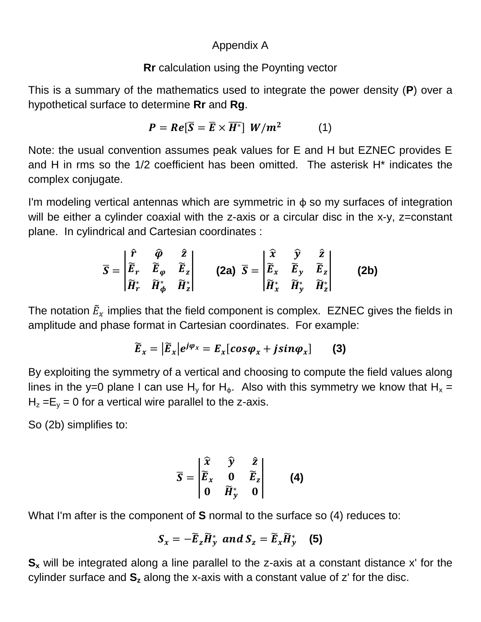## Appendix A

## **Rr** calculation using the Poynting vector

This is a summary of the mathematics used to integrate the power density (**P**) over a hypothetical surface to determine **Rr** and **Rg**.

$$
P = Re[\overline{S} = \overline{E} \times \overline{H^*}] W/m^2 \qquad (1)
$$

Note: the usual convention assumes peak values for E and H but EZNEC provides E and H in rms so the 1/2 coefficient has been omitted. The asterisk H\* indicates the complex conjugate.

I'm modeling vertical antennas which are symmetric in  $\phi$  so my surfaces of integration will be either a cylinder coaxial with the z-axis or a circular disc in the x-y, z=constant plane. In cylindrical and Cartesian coordinates :

$$
\overline{S} = \begin{vmatrix} \hat{r} & \hat{\varphi} & \hat{z} \\ \tilde{E}_r & \tilde{E}_{\varphi} & \tilde{E}_z \\ \tilde{H}_r^* & \tilde{H}_{\varphi}^* & \tilde{H}_z^* \end{vmatrix} \qquad \textbf{(2a)} \ \overline{S} = \begin{vmatrix} \hat{x} & \hat{y} & \hat{z} \\ \tilde{E}_x & \tilde{E}_y & \tilde{E}_z \\ \tilde{H}_x^* & \tilde{H}_y^* & \tilde{H}_z^* \end{vmatrix} \qquad \textbf{(2b)}
$$

The notation  $\tilde{E}_{x}$  implies that the field component is complex. EZNEC gives the fields in amplitude and phase format in Cartesian coordinates. For example:

$$
\widetilde{E}_x = |\widetilde{E}_x| e^{j\varphi_x} = E_x[cos\varphi_x + j sin\varphi_x]
$$
 (3)

By exploiting the symmetry of a vertical and choosing to compute the field values along lines in the y=0 plane I can use H<sub>y</sub> for H<sub>φ</sub>. Also with this symmetry we know that H<sub>x</sub> =  $H<sub>z</sub> = E<sub>v</sub> = 0$  for a vertical wire parallel to the z-axis.

So (2b) simplifies to:

$$
\overline{S} = \begin{vmatrix} \widehat{x} & \widehat{y} & \widehat{z} \\ \widetilde{E}_x & 0 & \widetilde{E}_z \\ 0 & \widetilde{H}_y^* & 0 \end{vmatrix}
$$
 (4)

What I'm after is the component of **S** normal to the surface so (4) reduces to:

$$
S_x = -\widetilde{E}_z \widetilde{H}^*_y \text{ and } S_z = \widetilde{E}_x \widetilde{H}^*_y \quad (5)
$$

**S<sub>x</sub>** will be integrated along a line parallel to the z-axis at a constant distance x' for the cylinder surface and **S<sup>z</sup>** along the x-axis with a constant value of z' for the disc.